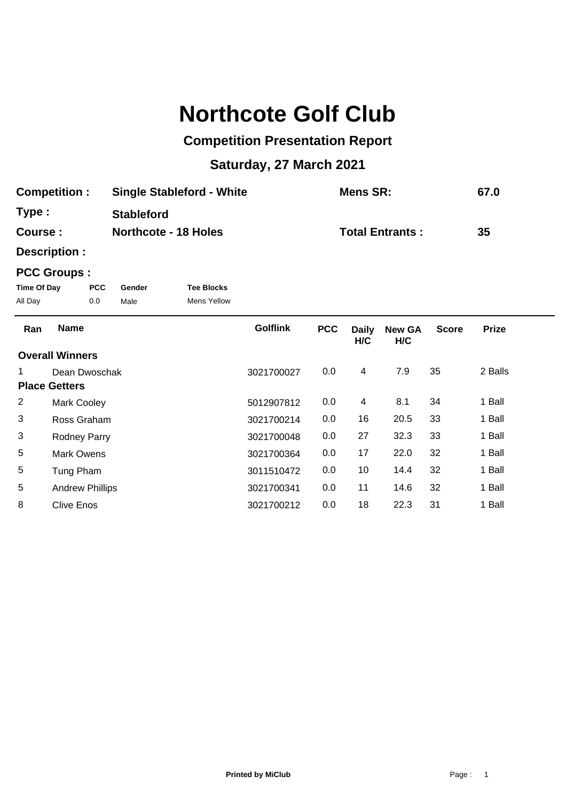## **Northcote Golf Club**

## **Competition Presentation Report**

## **Saturday, 27 March 2021**

| <b>Competition:</b> | <b>Single Stableford - White</b> | Mens SR:               | 67.0 |
|---------------------|----------------------------------|------------------------|------|
| Type:               | <b>Stableford</b>                |                        |      |
| <b>Course:</b>      | <b>Northcote - 18 Holes</b>      | <b>Total Entrants:</b> | 35   |

**Description :**

## **PCC Groups :**

| Time Of Day | PCC. | Gender | <b>Tee Blocks</b> |
|-------------|------|--------|-------------------|
| All Day     | 0.0  | Male   | Mens Yellow       |

| Ran | <b>Name</b>            | <b>Golflink</b> | <b>PCC</b> | <b>Daily</b><br>H/C | <b>New GA</b><br>H/C | <b>Score</b> | <b>Prize</b> |
|-----|------------------------|-----------------|------------|---------------------|----------------------|--------------|--------------|
|     | <b>Overall Winners</b> |                 |            |                     |                      |              |              |
|     | Dean Dwoschak          | 3021700027      | 0.0        | 4                   | 7.9                  | 35           | 2 Balls      |
|     | <b>Place Getters</b>   |                 |            |                     |                      |              |              |
| 2   | <b>Mark Cooley</b>     | 5012907812      | 0.0        | 4                   | 8.1                  | 34           | 1 Ball       |
| 3   | Ross Graham            | 3021700214      | 0.0        | 16                  | 20.5                 | 33           | 1 Ball       |
| 3   | <b>Rodney Parry</b>    | 3021700048      | 0.0        | 27                  | 32.3                 | 33           | 1 Ball       |
| 5   | <b>Mark Owens</b>      | 3021700364      | 0.0        | 17                  | 22.0                 | 32           | 1 Ball       |
| 5   | Tung Pham              | 3011510472      | 0.0        | 10                  | 14.4                 | 32           | 1 Ball       |
| 5   | <b>Andrew Phillips</b> | 3021700341      | 0.0        | 11                  | 14.6                 | 32           | 1 Ball       |
| 8   | Clive Enos             | 3021700212      | 0.0        | 18                  | 22.3                 | 31           | 1 Ball       |